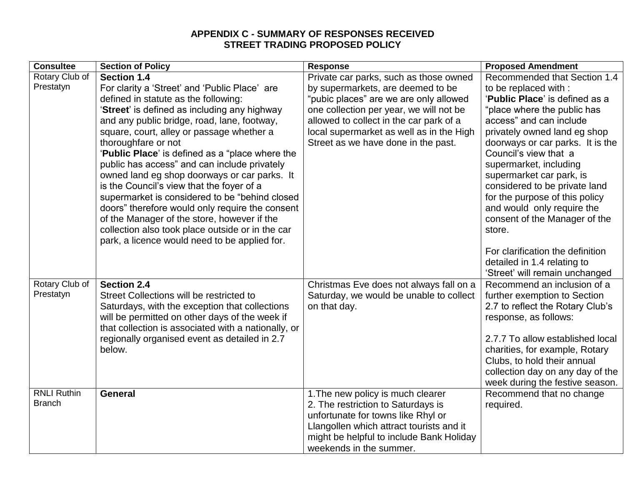## **APPENDIX C - SUMMARY OF RESPONSES RECEIVED STREET TRADING PROPOSED POLICY**

| <b>Consultee</b>   | <b>Section of Policy</b>                            | <b>Response</b>                          | <b>Proposed Amendment</b>        |
|--------------------|-----------------------------------------------------|------------------------------------------|----------------------------------|
| Rotary Club of     | <b>Section 1.4</b>                                  | Private car parks, such as those owned   | Recommended that Section 1.4     |
| Prestatyn          | For clarity a 'Street' and 'Public Place' are       | by supermarkets, are deemed to be        | to be replaced with :            |
|                    | defined in statute as the following:                | "pubic places" are we are only allowed   | 'Public Place' is defined as a   |
|                    | 'Street' is defined as including any highway        | one collection per year, we will not be  | "place where the public has      |
|                    | and any public bridge, road, lane, footway,         | allowed to collect in the car park of a  | access" and can include          |
|                    | square, court, alley or passage whether a           | local supermarket as well as in the High | privately owned land eg shop     |
|                    | thoroughfare or not                                 | Street as we have done in the past.      | doorways or car parks. It is the |
|                    | 'Public Place' is defined as a "place where the     |                                          | Council's view that a            |
|                    | public has access" and can include privately        |                                          | supermarket, including           |
|                    | owned land eg shop doorways or car parks. It        |                                          | supermarket car park, is         |
|                    | is the Council's view that the foyer of a           |                                          | considered to be private land    |
|                    | supermarket is considered to be "behind closed      |                                          | for the purpose of this policy   |
|                    | doors" therefore would only require the consent     |                                          | and would only require the       |
|                    | of the Manager of the store, however if the         |                                          | consent of the Manager of the    |
|                    | collection also took place outside or in the car    |                                          | store.                           |
|                    | park, a licence would need to be applied for.       |                                          |                                  |
|                    |                                                     |                                          | For clarification the definition |
|                    |                                                     |                                          | detailed in 1.4 relating to      |
|                    |                                                     |                                          | 'Street' will remain unchanged   |
| Rotary Club of     | <b>Section 2.4</b>                                  | Christmas Eve does not always fall on a  | Recommend an inclusion of a      |
| Prestatyn          | Street Collections will be restricted to            | Saturday, we would be unable to collect  | further exemption to Section     |
|                    | Saturdays, with the exception that collections      | on that day.                             | 2.7 to reflect the Rotary Club's |
|                    | will be permitted on other days of the week if      |                                          | response, as follows:            |
|                    | that collection is associated with a nationally, or |                                          |                                  |
|                    | regionally organised event as detailed in 2.7       |                                          | 2.7.7 To allow established local |
|                    | below.                                              |                                          | charities, for example, Rotary   |
|                    |                                                     |                                          | Clubs, to hold their annual      |
|                    |                                                     |                                          | collection day on any day of the |
|                    |                                                     |                                          | week during the festive season.  |
| <b>RNLI Ruthin</b> | <b>General</b>                                      | 1. The new policy is much clearer        | Recommend that no change         |
| <b>Branch</b>      |                                                     | 2. The restriction to Saturdays is       | required.                        |
|                    |                                                     | unfortunate for towns like Rhyl or       |                                  |
|                    |                                                     | Llangollen which attract tourists and it |                                  |
|                    |                                                     | might be helpful to include Bank Holiday |                                  |
|                    |                                                     | weekends in the summer.                  |                                  |